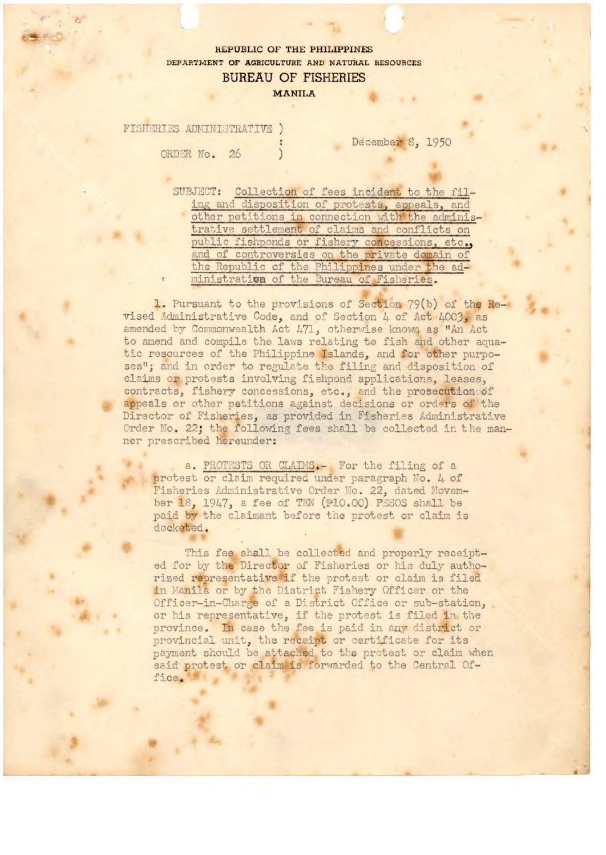## REPUBLIC OF THE PHILIPPINES DEPARTMENT OF AGRICULTURE AND NATURAL RESOURCES **BUREAU OF FISHERIES MANILA**

FISHERIES ADMINISTRATIVE )

ORDER No. 26

December 8, 1950

SUBJECT: Collection of fees incident to the filing and disposition of protests, appeals, and<br>other petitions in connection with the administrative settlement of claims and conflicts on public fishponds or fishery concessions, etc., and of controversies on the private domain of the Republic of the Philippines under the administration of the Bureau of Fisheries.

1. Pursuant to the provisions of Section 79(b) of the Revised Administrative Code, and of Section 4 of Act 4003, as amended by Commonwealth Act 471, otherwise known as "An Act to amend and compile the laws relating to fish and other aquatic resources of the Philippine Islands, and for other purposes"; and in order to regulate the filing and disposition of claims or protests involving fishpond applications, leases, contracts, fishery concessions, etc., and the prosecution of appeals or other petitions against decisions or orders of the Director of Fisheries, as provided in Fisheries Administrative Order No. 22; the following fees shall be collected in the manner prescribed hereunder:

a. PROTESTS OR CLAIMS.- For the filing of a protest or claim required under paragraph No. 4 of Fisheries Administrative Order No. 22, dated November 18, 1947, a fee of TEN (P10.00) PESOS shall be paid by the claimant before the protest or claim is docketed.

This fee shall be collected and properly receipted for by the Director of Fisheries or his duly authorized representative if the protest or claim is filed in Manila or by the District Fishery Officer or the Officer-in-Charge of a District Office or sub-station, or his representative, if the protest is filed in the province. In case the fee is paid in any district or provincial unit, the receipt or certificate for its payment should be attached to the protest or claim when said protest or claim is forwarded to the Central Office.